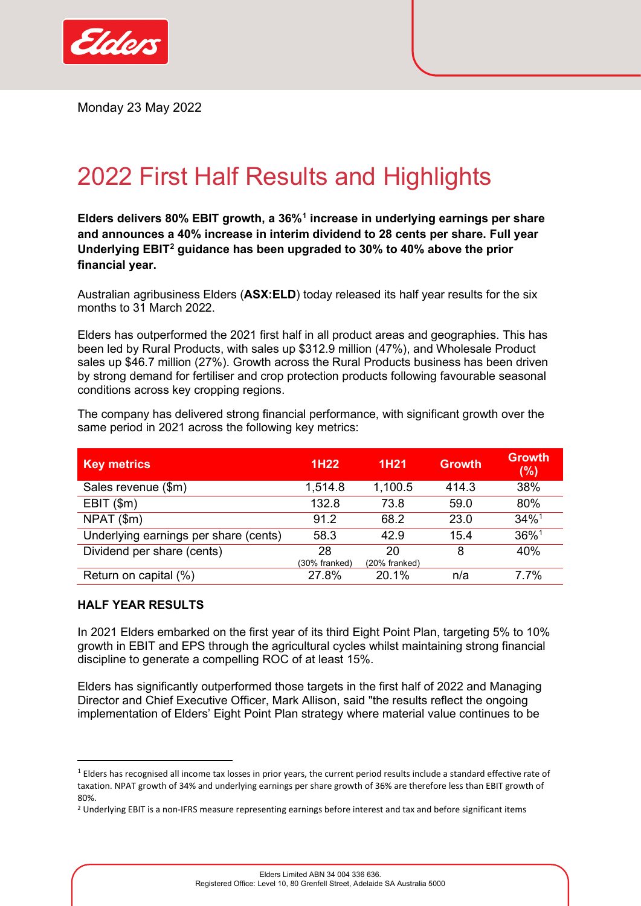

Monday 23 May 2022

## 2022 First Half Results and Highlights

<span id="page-0-0"></span>**Elders delivers 80% EBIT growth, a 36%[1](#page-0-1) increase in underlying earnings per share and announces a 40% increase in interim dividend to 28 cents per share. Full year Underlying EBIT[2](#page-0-2) guidance has been upgraded to 30% to 40% above the prior financial year.**

Australian agribusiness Elders (**ASX:ELD**) today released its half year results for the six months to 31 March 2022.

Elders has outperformed the 2021 first half in all product areas and geographies. This has been led by Rural Products, with sales up \$312.9 million (47%), and Wholesale Product sales up \$46.7 million (27%). Growth across the Rural Products business has been driven by strong demand for fertiliser and crop protection products following favourable seasonal conditions across key cropping regions.

| <b>Key metrics</b>                    | 1H22          | 1H21          | <b>Growth</b> | <b>Growth</b><br>(%) |
|---------------------------------------|---------------|---------------|---------------|----------------------|
| Sales revenue (\$m)                   | 1,514.8       | 1,100.5       | 414.3         | 38%                  |
| $EBIT$ (\$m)                          | 132.8         | 73.8          | 59.0          | 80%                  |
| NPAT (\$m)                            | 91.2          | 68.2          | 23.0          | $34\%$ <sup>1</sup>  |
| Underlying earnings per share (cents) | 58.3          | 42.9          | 15.4          | 36%1                 |
| Dividend per share (cents)            | 28            | 20            | 8             | 40%                  |
|                                       | (30% franked) | (20% franked) |               |                      |

The company has delivered strong financial performance, with significant growth over the same period in 2021 across the following key metrics:

## **HALF YEAR RESULTS**

In 2021 Elders embarked on the first year of its third Eight Point Plan, targeting 5% to 10% growth in EBIT and EPS through the agricultural cycles whilst maintaining strong financial discipline to generate a compelling ROC of at least 15%.

Return on capital (%) 27.8% 20.1% n/a 7.7%

Elders has significantly outperformed those targets in the first half of 2022 and Managing Director and Chief Executive Officer, Mark Allison, said "the results reflect the ongoing implementation of Elders' Eight Point Plan strategy where material value continues to be

<span id="page-0-1"></span> $1$  Elders has recognised all income tax losses in prior years, the current period results include a standard effective rate of taxation. NPAT growth of 34% and underlying earnings per share growth of 36% are therefore less than EBIT growth of 80%.

<span id="page-0-2"></span><sup>&</sup>lt;sup>2</sup> Underlying EBIT is a non-IFRS measure representing earnings before interest and tax and before significant items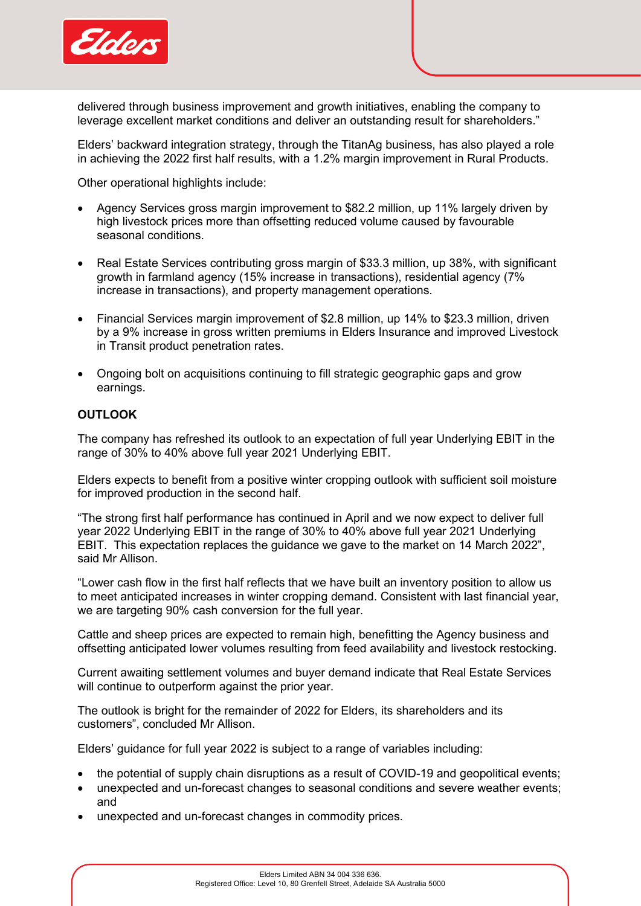

delivered through business improvement and growth initiatives, enabling the company to leverage excellent market conditions and deliver an outstanding result for shareholders."

Elders' backward integration strategy, through the TitanAg business, has also played a role in achieving the 2022 first half results, with a 1.2% margin improvement in Rural Products.

Other operational highlights include:

- Agency Services gross margin improvement to \$82.2 million, up 11% largely driven by high livestock prices more than offsetting reduced volume caused by favourable seasonal conditions.
- Real Estate Services contributing gross margin of \$33.3 million, up 38%, with significant growth in farmland agency (15% increase in transactions), residential agency (7% increase in transactions), and property management operations.
- Financial Services margin improvement of \$2.8 million, up 14% to \$23.3 million, driven by a 9% increase in gross written premiums in Elders Insurance and improved Livestock in Transit product penetration rates.
- Ongoing bolt on acquisitions continuing to fill strategic geographic gaps and grow earnings.

## **OUTLOOK**

The company has refreshed its outlook to an expectation of full year Underlying EBIT in the range of 30% to 40% above full year 2021 Underlying EBIT.

Elders expects to benefit from a positive winter cropping outlook with sufficient soil moisture for improved production in the second half.

"The strong first half performance has continued in April and we now expect to deliver full year 2022 Underlying EBIT in the range of 30% to 40% above full year 2021 Underlying EBIT. This expectation replaces the guidance we gave to the market on 14 March 2022", said Mr Allison.

"Lower cash flow in the first half reflects that we have built an inventory position to allow us to meet anticipated increases in winter cropping demand. Consistent with last financial year, we are targeting 90% cash conversion for the full year.

Cattle and sheep prices are expected to remain high, benefitting the Agency business and offsetting anticipated lower volumes resulting from feed availability and livestock restocking.

Current awaiting settlement volumes and buyer demand indicate that Real Estate Services will continue to outperform against the prior year.

The outlook is bright for the remainder of 2022 for Elders, its shareholders and its customers", concluded Mr Allison.

Elders' guidance for full year 2022 is subject to a range of variables including:

- the potential of supply chain disruptions as a result of COVID-19 and geopolitical events;
- unexpected and un-forecast changes to seasonal conditions and severe weather events; and
- unexpected and un-forecast changes in commodity prices.